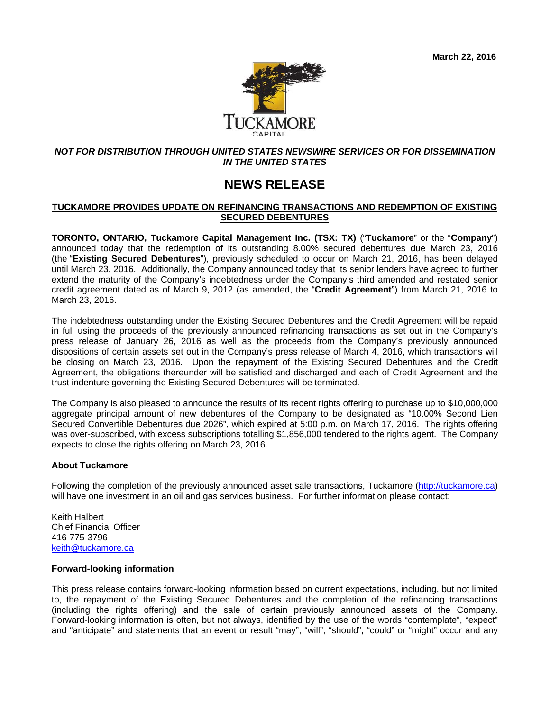

### *NOT FOR DISTRIBUTION THROUGH UNITED STATES NEWSWIRE SERVICES OR FOR DISSEMINATION IN THE UNITED STATES*

# **NEWS RELEASE**

## **TUCKAMORE PROVIDES UPDATE ON REFINANCING TRANSACTIONS AND REDEMPTION OF EXISTING SECURED DEBENTURES**

**TORONTO, ONTARIO, Tuckamore Capital Management Inc. (TSX: TX)** ("**Tuckamore**" or the "**Company**") announced today that the redemption of its outstanding 8.00% secured debentures due March 23, 2016 (the "**Existing Secured Debentures**"), previously scheduled to occur on March 21, 2016, has been delayed until March 23, 2016. Additionally, the Company announced today that its senior lenders have agreed to further extend the maturity of the Company's indebtedness under the Company's third amended and restated senior credit agreement dated as of March 9, 2012 (as amended, the "**Credit Agreement**") from March 21, 2016 to March 23, 2016.

The indebtedness outstanding under the Existing Secured Debentures and the Credit Agreement will be repaid in full using the proceeds of the previously announced refinancing transactions as set out in the Company's press release of January 26, 2016 as well as the proceeds from the Company's previously announced dispositions of certain assets set out in the Company's press release of March 4, 2016, which transactions will be closing on March 23, 2016. Upon the repayment of the Existing Secured Debentures and the Credit Agreement, the obligations thereunder will be satisfied and discharged and each of Credit Agreement and the trust indenture governing the Existing Secured Debentures will be terminated.

The Company is also pleased to announce the results of its recent rights offering to purchase up to \$10,000,000 aggregate principal amount of new debentures of the Company to be designated as "10.00% Second Lien Secured Convertible Debentures due 2026", which expired at 5:00 p.m. on March 17, 2016. The rights offering was over-subscribed, with excess subscriptions totalling \$1,856,000 tendered to the rights agent. The Company expects to close the rights offering on March 23, 2016.

### **About Tuckamore**

Following the completion of the previously announced asset sale transactions, Tuckamore (http://tuckamore.ca) will have one investment in an oil and gas services business. For further information please contact:

Keith Halbert Chief Financial Officer 416-775-3796 keith@tuckamore.ca

## **Forward-looking information**

This press release contains forward-looking information based on current expectations, including, but not limited to, the repayment of the Existing Secured Debentures and the completion of the refinancing transactions (including the rights offering) and the sale of certain previously announced assets of the Company. Forward-looking information is often, but not always, identified by the use of the words "contemplate", "expect" and "anticipate" and statements that an event or result "may", "will", "should", "could" or "might" occur and any